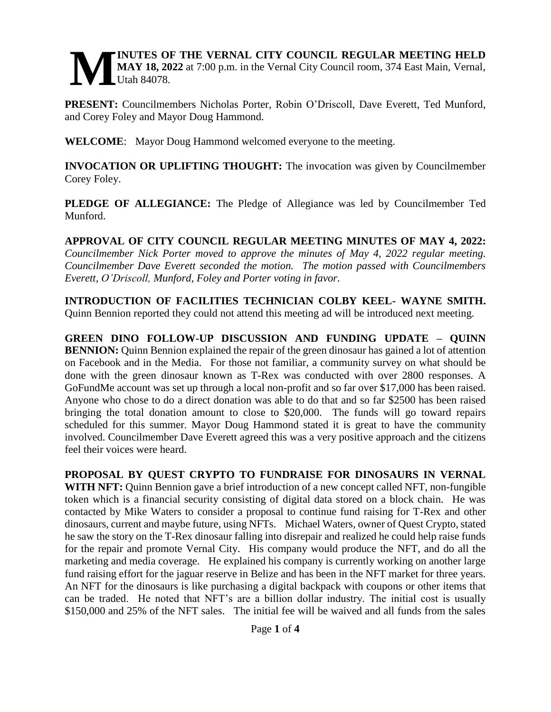#### **INUTES OF THE VERNAL CITY COUNCIL REGULAR MEETING HELD MAY 18, 2022** at 7:00 p.m. in the Vernal City Council room, 374 East Main, Vernal, Utah 84078. **M**

**PRESENT:** Councilmembers Nicholas Porter, Robin O'Driscoll, Dave Everett, Ted Munford, and Corey Foley and Mayor Doug Hammond.

**WELCOME**: Mayor Doug Hammond welcomed everyone to the meeting.

**INVOCATION OR UPLIFTING THOUGHT:** The invocation was given by Councilmember Corey Foley.

**PLEDGE OF ALLEGIANCE:** The Pledge of Allegiance was led by Councilmember Ted Munford.

**APPROVAL OF CITY COUNCIL REGULAR MEETING MINUTES OF MAY 4, 2022:**  *Councilmember Nick Porter moved to approve the minutes of May 4, 2022 regular meeting. Councilmember Dave Everett seconded the motion. The motion passed with Councilmembers Everett, O'Driscoll, Munford, Foley and Porter voting in favor.* 

**INTRODUCTION OF FACILITIES TECHNICIAN COLBY KEEL- WAYNE SMITH.**  Quinn Bennion reported they could not attend this meeting ad will be introduced next meeting.

**GREEN DINO FOLLOW-UP DISCUSSION AND FUNDING UPDATE – QUINN BENNION:** Quinn Bennion explained the repair of the green dinosaur has gained a lot of attention on Facebook and in the Media. For those not familiar, a community survey on what should be done with the green dinosaur known as T-Rex was conducted with over 2800 responses. A GoFundMe account was set up through a local non-profit and so far over \$17,000 has been raised. Anyone who chose to do a direct donation was able to do that and so far \$2500 has been raised bringing the total donation amount to close to \$20,000. The funds will go toward repairs scheduled for this summer. Mayor Doug Hammond stated it is great to have the community involved. Councilmember Dave Everett agreed this was a very positive approach and the citizens feel their voices were heard.

**PROPOSAL BY QUEST CRYPTO TO FUNDRAISE FOR DINOSAURS IN VERNAL WITH NFT:** Quinn Bennion gave a brief introduction of a new concept called NFT, non-fungible token which is a financial security consisting of digital data stored on a block chain. He was contacted by Mike Waters to consider a proposal to continue fund raising for T-Rex and other dinosaurs, current and maybe future, using NFTs. Michael Waters, owner of Quest Crypto, stated he saw the story on the T-Rex dinosaur falling into disrepair and realized he could help raise funds for the repair and promote Vernal City. His company would produce the NFT, and do all the marketing and media coverage. He explained his company is currently working on another large fund raising effort for the jaguar reserve in Belize and has been in the NFT market for three years. An NFT for the dinosaurs is like purchasing a digital backpack with coupons or other items that can be traded. He noted that NFT's are a billion dollar industry. The initial cost is usually \$150,000 and 25% of the NFT sales. The initial fee will be waived and all funds from the sales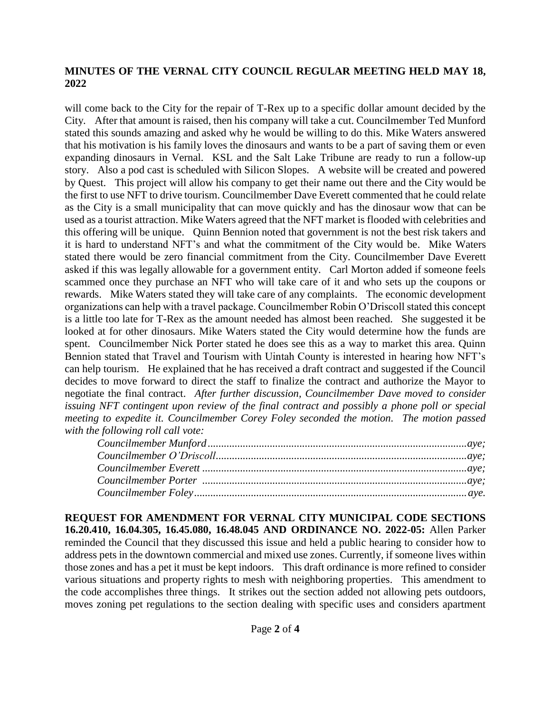### **MINUTES OF THE VERNAL CITY COUNCIL REGULAR MEETING HELD MAY 18, 2022**

will come back to the City for the repair of T-Rex up to a specific dollar amount decided by the City. After that amount is raised, then his company will take a cut. Councilmember Ted Munford stated this sounds amazing and asked why he would be willing to do this. Mike Waters answered that his motivation is his family loves the dinosaurs and wants to be a part of saving them or even expanding dinosaurs in Vernal. KSL and the Salt Lake Tribune are ready to run a follow-up story. Also a pod cast is scheduled with Silicon Slopes. A website will be created and powered by Quest. This project will allow his company to get their name out there and the City would be the first to use NFT to drive tourism. Councilmember Dave Everett commented that he could relate as the City is a small municipality that can move quickly and has the dinosaur wow that can be used as a tourist attraction. Mike Waters agreed that the NFT market is flooded with celebrities and this offering will be unique. Quinn Bennion noted that government is not the best risk takers and it is hard to understand NFT's and what the commitment of the City would be. Mike Waters stated there would be zero financial commitment from the City. Councilmember Dave Everett asked if this was legally allowable for a government entity. Carl Morton added if someone feels scammed once they purchase an NFT who will take care of it and who sets up the coupons or rewards. Mike Waters stated they will take care of any complaints. The economic development organizations can help with a travel package. Councilmember Robin O'Driscoll stated this concept is a little too late for T-Rex as the amount needed has almost been reached. She suggested it be looked at for other dinosaurs. Mike Waters stated the City would determine how the funds are spent. Councilmember Nick Porter stated he does see this as a way to market this area. Quinn Bennion stated that Travel and Tourism with Uintah County is interested in hearing how NFT's can help tourism. He explained that he has received a draft contract and suggested if the Council decides to move forward to direct the staff to finalize the contract and authorize the Mayor to negotiate the final contract. *After further discussion, Councilmember Dave moved to consider issuing NFT contingent upon review of the final contract and possibly a phone poll or special meeting to expedite it. Councilmember Corey Foley seconded the motion. The motion passed with the following roll call vote:*

**REQUEST FOR AMENDMENT FOR VERNAL CITY MUNICIPAL CODE SECTIONS 16.20.410, 16.04.305, 16.45.080, 16.48.045 AND ORDINANCE NO. 2022-05:** Allen Parker reminded the Council that they discussed this issue and held a public hearing to consider how to address pets in the downtown commercial and mixed use zones. Currently, if someone lives within those zones and has a pet it must be kept indoors. This draft ordinance is more refined to consider various situations and property rights to mesh with neighboring properties. This amendment to the code accomplishes three things. It strikes out the section added not allowing pets outdoors, moves zoning pet regulations to the section dealing with specific uses and considers apartment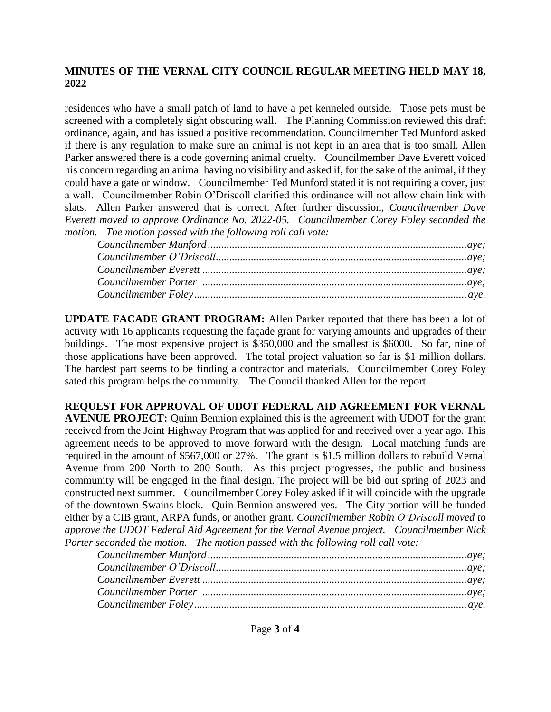### **MINUTES OF THE VERNAL CITY COUNCIL REGULAR MEETING HELD MAY 18, 2022**

residences who have a small patch of land to have a pet kenneled outside. Those pets must be screened with a completely sight obscuring wall. The Planning Commission reviewed this draft ordinance, again, and has issued a positive recommendation. Councilmember Ted Munford asked if there is any regulation to make sure an animal is not kept in an area that is too small. Allen Parker answered there is a code governing animal cruelty. Councilmember Dave Everett voiced his concern regarding an animal having no visibility and asked if, for the sake of the animal, if they could have a gate or window. Councilmember Ted Munford stated it is not requiring a cover, just a wall. Councilmember Robin O'Driscoll clarified this ordinance will not allow chain link with slats. Allen Parker answered that is correct. After further discussion, *Councilmember Dave Everett moved to approve Ordinance No. 2022-05. Councilmember Corey Foley seconded the motion. The motion passed with the following roll call vote:* 

| ${C}ouncilmember\ O'{Driscoll}\\ \\ \\$ |  |
|-----------------------------------------|--|
|                                         |  |
|                                         |  |
|                                         |  |

**UPDATE FACADE GRANT PROGRAM:** Allen Parker reported that there has been a lot of activity with 16 applicants requesting the façade grant for varying amounts and upgrades of their buildings. The most expensive project is \$350,000 and the smallest is \$6000. So far, nine of those applications have been approved. The total project valuation so far is \$1 million dollars. The hardest part seems to be finding a contractor and materials. Councilmember Corey Foley sated this program helps the community. The Council thanked Allen for the report.

**REQUEST FOR APPROVAL OF UDOT FEDERAL AID AGREEMENT FOR VERNAL AVENUE PROJECT:** Quinn Bennion explained this is the agreement with UDOT for the grant received from the Joint Highway Program that was applied for and received over a year ago. This agreement needs to be approved to move forward with the design. Local matching funds are required in the amount of \$567,000 or 27%. The grant is \$1.5 million dollars to rebuild Vernal Avenue from 200 North to 200 South. As this project progresses, the public and business community will be engaged in the final design. The project will be bid out spring of 2023 and constructed next summer. Councilmember Corey Foley asked if it will coincide with the upgrade of the downtown Swains block. Quin Bennion answered yes. The City portion will be funded either by a CIB grant, ARPA funds, or another grant. *Councilmember Robin O'Driscoll moved to approve the UDOT Federal Aid Agreement for the Vernal Avenue project. Councilmember Nick Porter seconded the motion. The motion passed with the following roll call vote:*